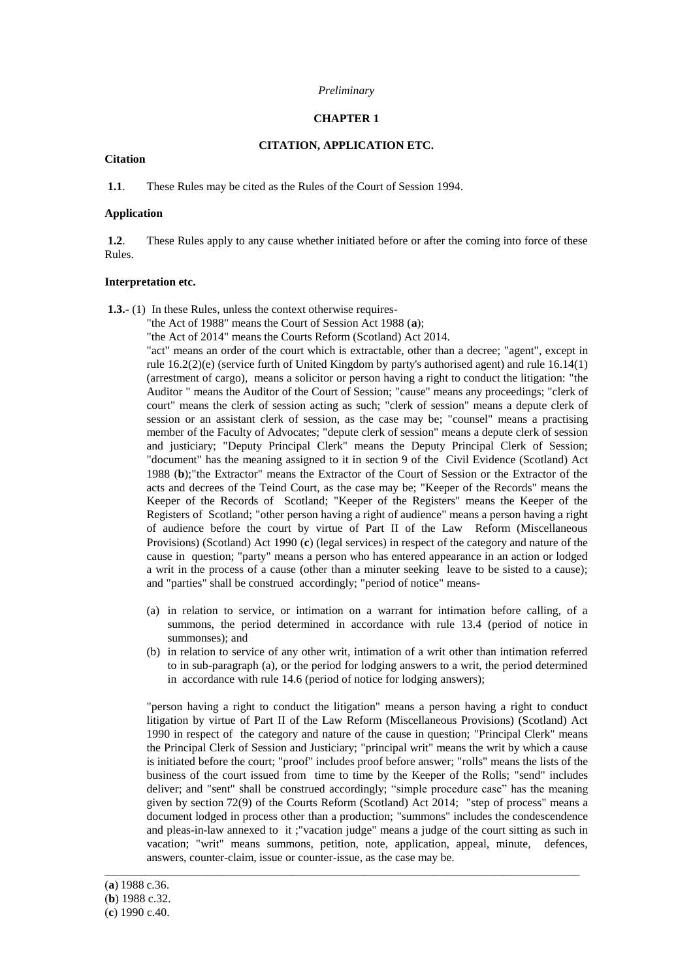#### *Preliminary*

### **CHAPTER 1**

## **CITATION, APPLICATION ETC.**

# **Citation**

**1.1**. These Rules may be cited as the Rules of the Court of Session 1994.

## **Application**

**1.2**. These Rules apply to any cause whether initiated before or after the coming into force of these Rules.

### **Interpretation etc.**

**1.3.-** (1) In these Rules, unless the context otherwise requires-

"the Act of 1988" means the Court of Session Act 1988 (**a**);

"the Act of 2014" means the Courts Reform (Scotland) Act 2014.

"act" means an order of the court which is extractable, other than a decree; "agent", except in rule 16.2(2)(e) (service furth of United Kingdom by party's authorised agent) and rule 16.14(1) (arrestment of cargo), means a solicitor or person having a right to conduct the litigation: "the Auditor " means the Auditor of the Court of Session; "cause" means any proceedings; "clerk of court" means the clerk of session acting as such; "clerk of session" means a depute clerk of session or an assistant clerk of session, as the case may be; "counsel" means a practising member of the Faculty of Advocates; "depute clerk of session" means a depute clerk of session and justiciary; "Deputy Principal Clerk" means the Deputy Principal Clerk of Session; "document" has the meaning assigned to it in section 9 of the Civil Evidence (Scotland) Act 1988 (**b**);"the Extractor" means the Extractor of the Court of Session or the Extractor of the acts and decrees of the Teind Court, as the case may be; "Keeper of the Records" means the Keeper of the Records of Scotland; "Keeper of the Registers" means the Keeper of the Registers of Scotland; "other person having a right of audience" means a person having a right of audience before the court by virtue of Part II of the Law Reform (Miscellaneous Provisions) (Scotland) Act 1990 (**c**) (legal services) in respect of the category and nature of the cause in question; "party" means a person who has entered appearance in an action or lodged a writ in the process of a cause (other than a minuter seeking leave to be sisted to a cause); and "parties" shall be construed accordingly; "period of notice" means-

- (a) in relation to service, or intimation on a warrant for intimation before calling, of a summons, the period determined in accordance with rule 13.4 (period of notice in summonses); and
- (b) in relation to service of any other writ, intimation of a writ other than intimation referred to in sub-paragraph (a), or the period for lodging answers to a writ, the period determined in accordance with rule 14.6 (period of notice for lodging answers);

"person having a right to conduct the litigation" means a person having a right to conduct litigation by virtue of Part II of the Law Reform (Miscellaneous Provisions) (Scotland) Act 1990 in respect of the category and nature of the cause in question; "Principal Clerk" means the Principal Clerk of Session and Justiciary; "principal writ" means the writ by which a cause is initiated before the court; "proof" includes proof before answer; "rolls" means the lists of the business of the court issued from time to time by the Keeper of the Rolls; "send" includes deliver; and "sent" shall be construed accordingly; "simple procedure case" has the meaning given by section 72(9) of the Courts Reform (Scotland) Act 2014; "step of process" means a document lodged in process other than a production; "summons" includes the condescendence and pleas-in-law annexed to it ;"vacation judge" means a judge of the court sitting as such in vacation; "writ" means summons, petition, note, application, appeal, minute, defences, answers, counter-claim, issue or counter-issue, as the case may be.

\_\_\_\_\_\_\_\_\_\_\_\_\_\_\_\_\_\_\_\_\_\_\_\_\_\_\_\_\_\_\_\_\_\_\_\_\_\_\_\_\_\_\_\_\_\_\_\_\_\_\_\_\_\_\_\_\_\_\_\_\_\_\_\_\_\_\_\_\_\_\_\_\_\_\_\_\_\_\_\_\_

<sup>(</sup>**a**) 1988 c.36.

<sup>(</sup>**b**) 1988 c.32.

<sup>(</sup>**c**) 1990 c.40.